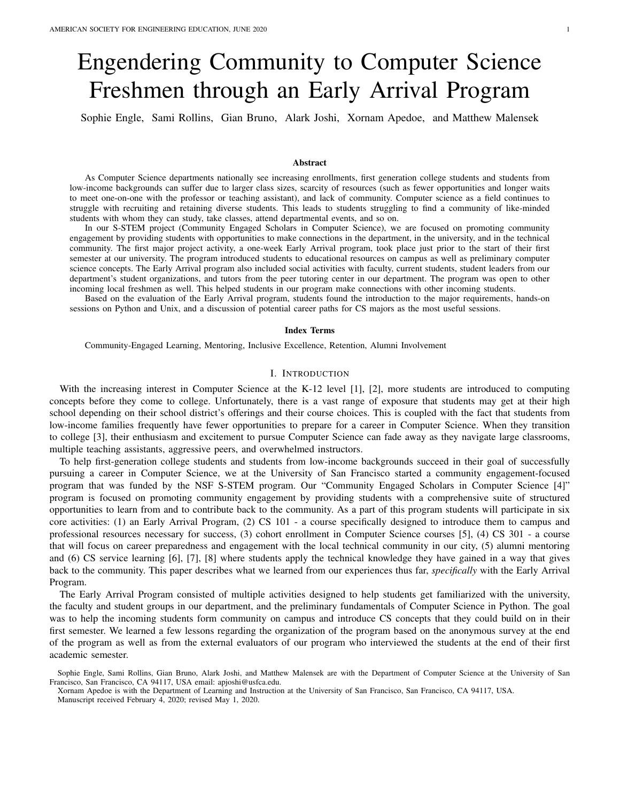# Engendering Community to Computer Science Freshmen through an Early Arrival Program

Sophie Engle, Sami Rollins, Gian Bruno, Alark Joshi, Xornam Apedoe, and Matthew Malensek

#### Abstract

As Computer Science departments nationally see increasing enrollments, first generation college students and students from low-income backgrounds can suffer due to larger class sizes, scarcity of resources (such as fewer opportunities and longer waits to meet one-on-one with the professor or teaching assistant), and lack of community. Computer science as a field continues to struggle with recruiting and retaining diverse students. This leads to students struggling to find a community of like-minded students with whom they can study, take classes, attend departmental events, and so on.

In our S-STEM project (Community Engaged Scholars in Computer Science), we are focused on promoting community engagement by providing students with opportunities to make connections in the department, in the university, and in the technical community. The first major project activity, a one-week Early Arrival program, took place just prior to the start of their first semester at our university. The program introduced students to educational resources on campus as well as preliminary computer science concepts. The Early Arrival program also included social activities with faculty, current students, student leaders from our department's student organizations, and tutors from the peer tutoring center in our department. The program was open to other incoming local freshmen as well. This helped students in our program make connections with other incoming students.

Based on the evaluation of the Early Arrival program, students found the introduction to the major requirements, hands-on sessions on Python and Unix, and a discussion of potential career paths for CS majors as the most useful sessions.

# Index Terms

Community-Engaged Learning, Mentoring, Inclusive Excellence, Retention, Alumni Involvement

# I. INTRODUCTION

With the increasing interest in Computer Science at the K-12 level [1], [2], more students are introduced to computing concepts before they come to college. Unfortunately, there is a vast range of exposure that students may get at their high school depending on their school district's offerings and their course choices. This is coupled with the fact that students from low-income families frequently have fewer opportunities to prepare for a career in Computer Science. When they transition to college [3], their enthusiasm and excitement to pursue Computer Science can fade away as they navigate large classrooms, multiple teaching assistants, aggressive peers, and overwhelmed instructors.

To help first-generation college students and students from low-income backgrounds succeed in their goal of successfully pursuing a career in Computer Science, we at the University of San Francisco started a community engagement-focused program that was funded by the NSF S-STEM program. Our "Community Engaged Scholars in Computer Science [4]" program is focused on promoting community engagement by providing students with a comprehensive suite of structured opportunities to learn from and to contribute back to the community. As a part of this program students will participate in six core activities: (1) an Early Arrival Program, (2) CS 101 - a course specifically designed to introduce them to campus and professional resources necessary for success, (3) cohort enrollment in Computer Science courses [5], (4) CS 301 - a course that will focus on career preparedness and engagement with the local technical community in our city, (5) alumni mentoring and (6) CS service learning [6], [7], [8] where students apply the technical knowledge they have gained in a way that gives back to the community. This paper describes what we learned from our experiences thus far, *specifically* with the Early Arrival Program.

The Early Arrival Program consisted of multiple activities designed to help students get familiarized with the university, the faculty and student groups in our department, and the preliminary fundamentals of Computer Science in Python. The goal was to help the incoming students form community on campus and introduce CS concepts that they could build on in their first semester. We learned a few lessons regarding the organization of the program based on the anonymous survey at the end of the program as well as from the external evaluators of our program who interviewed the students at the end of their first academic semester.

Sophie Engle, Sami Rollins, Gian Bruno, Alark Joshi, and Matthew Malensek are with the Department of Computer Science at the University of San Francisco, San Francisco, CA 94117, USA email: apjoshi@usfca.edu.

Xornam Apedoe is with the Department of Learning and Instruction at the University of San Francisco, San Francisco, CA 94117, USA. Manuscript received February 4, 2020; revised May 1, 2020.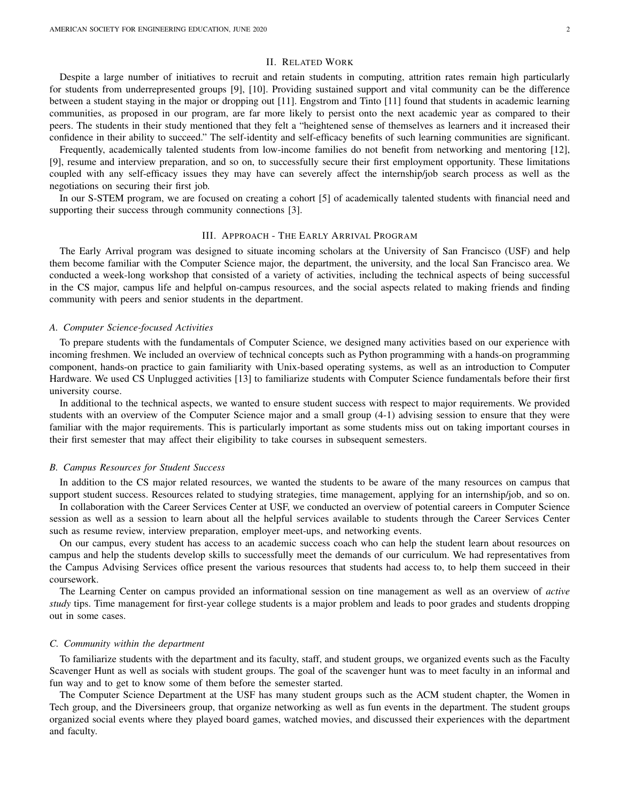# II. RELATED WORK

Despite a large number of initiatives to recruit and retain students in computing, attrition rates remain high particularly for students from underrepresented groups [9], [10]. Providing sustained support and vital community can be the difference between a student staying in the major or dropping out [11]. Engstrom and Tinto [11] found that students in academic learning communities, as proposed in our program, are far more likely to persist onto the next academic year as compared to their peers. The students in their study mentioned that they felt a "heightened sense of themselves as learners and it increased their confidence in their ability to succeed." The self-identity and self-efficacy benefits of such learning communities are significant.

Frequently, academically talented students from low-income families do not benefit from networking and mentoring [12], [9], resume and interview preparation, and so on, to successfully secure their first employment opportunity. These limitations coupled with any self-efficacy issues they may have can severely affect the internship/job search process as well as the negotiations on securing their first job.

In our S-STEM program, we are focused on creating a cohort [5] of academically talented students with financial need and supporting their success through community connections [3].

#### III. APPROACH - THE EARLY ARRIVAL PROGRAM

The Early Arrival program was designed to situate incoming scholars at the University of San Francisco (USF) and help them become familiar with the Computer Science major, the department, the university, and the local San Francisco area. We conducted a week-long workshop that consisted of a variety of activities, including the technical aspects of being successful in the CS major, campus life and helpful on-campus resources, and the social aspects related to making friends and finding community with peers and senior students in the department.

#### *A. Computer Science-focused Activities*

To prepare students with the fundamentals of Computer Science, we designed many activities based on our experience with incoming freshmen. We included an overview of technical concepts such as Python programming with a hands-on programming component, hands-on practice to gain familiarity with Unix-based operating systems, as well as an introduction to Computer Hardware. We used CS Unplugged activities [13] to familiarize students with Computer Science fundamentals before their first university course.

In additional to the technical aspects, we wanted to ensure student success with respect to major requirements. We provided students with an overview of the Computer Science major and a small group (4-1) advising session to ensure that they were familiar with the major requirements. This is particularly important as some students miss out on taking important courses in their first semester that may affect their eligibility to take courses in subsequent semesters.

#### *B. Campus Resources for Student Success*

In addition to the CS major related resources, we wanted the students to be aware of the many resources on campus that support student success. Resources related to studying strategies, time management, applying for an internship/job, and so on.

In collaboration with the Career Services Center at USF, we conducted an overview of potential careers in Computer Science session as well as a session to learn about all the helpful services available to students through the Career Services Center such as resume review, interview preparation, employer meet-ups, and networking events.

On our campus, every student has access to an academic success coach who can help the student learn about resources on campus and help the students develop skills to successfully meet the demands of our curriculum. We had representatives from the Campus Advising Services office present the various resources that students had access to, to help them succeed in their coursework.

The Learning Center on campus provided an informational session on tine management as well as an overview of *active study* tips. Time management for first-year college students is a major problem and leads to poor grades and students dropping out in some cases.

#### *C. Community within the department*

To familiarize students with the department and its faculty, staff, and student groups, we organized events such as the Faculty Scavenger Hunt as well as socials with student groups. The goal of the scavenger hunt was to meet faculty in an informal and fun way and to get to know some of them before the semester started.

The Computer Science Department at the USF has many student groups such as the ACM student chapter, the Women in Tech group, and the Diversineers group, that organize networking as well as fun events in the department. The student groups organized social events where they played board games, watched movies, and discussed their experiences with the department and faculty.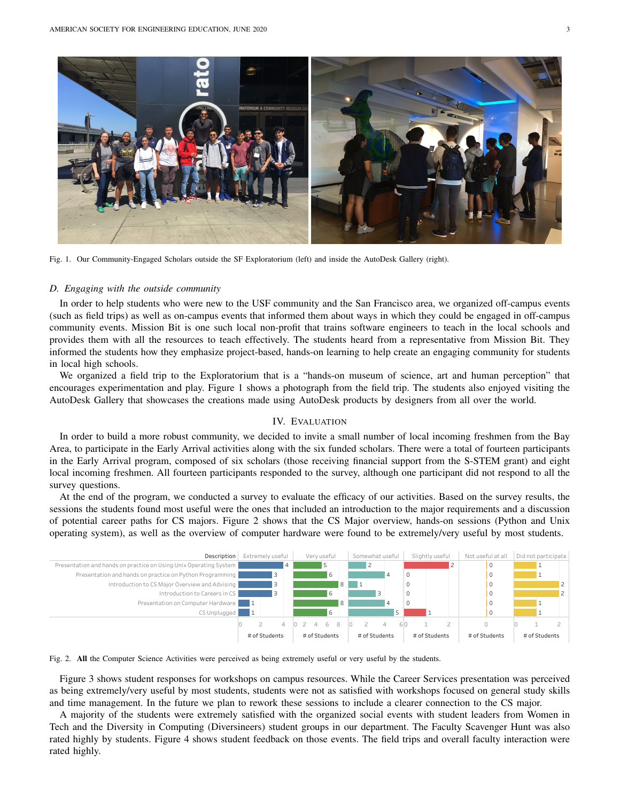

Fig. 1. Our Community-Engaged Scholars outside the SF Exploratorium (left) and inside the AutoDesk Gallery (right).

## *D. Engaging with the outside community*

In order to help students who were new to the USF community and the San Francisco area, we organized off-campus events (such as field trips) as well as on-campus events that informed them about ways in which they could be engaged in off-campus community events. Mission Bit is one such local non-profit that trains software engineers to teach in the local schools and provides them with all the resources to teach effectively. The students heard from a representative from Mission Bit. They informed the students how they emphasize project-based, hands-on learning to help create an engaging community for students in local high schools.

We organized a field trip to the Exploratorium that is a "hands-on museum of science, art and human perception" that encourages experimentation and play. Figure 1 shows a photograph from the field trip. The students also enjoyed visiting the AutoDesk Gallery that showcases the creations made using AutoDesk products by designers from all over the world.

## IV. EVALUATION

In order to build a more robust community, we decided to invite a small number of local incoming freshmen from the Bay Area, to participate in the Early Arrival activities along with the six funded scholars. There were a total of fourteen participants in the Early Arrival program, composed of six scholars (those receiving financial support from the S-STEM grant) and eight local incoming freshmen. All fourteen participants responded to the survey, although one participant did not respond to all the survey questions.

At the end of the program, we conducted a survey to evaluate the efficacy of our activities. Based on the survey results, the sessions the students found most useful were the ones that included an introduction to the major requirements and a discussion of potential career paths for CS majors. Figure 2 shows that the CS Major overview, hands-on sessions (Python and Unix operating system), as well as the overview of computer hardware were found to be extremely/very useful by most students.





Figure 3 shows student responses for workshops on campus resources. While the Career Services presentation was perceived as being extremely/very useful by most students, students were not as satisfied with workshops focused on general study skills and time management. In the future we plan to rework these sessions to include a clearer connection to the CS major.

A majority of the students were extremely satisfied with the organized social events with student leaders from Women in Tech and the Diversity in Computing (Diversineers) student groups in our department. The Faculty Scavenger Hunt was also rated highly by students. Figure 4 shows student feedback on those events. The field trips and overall faculty interaction were rated highly.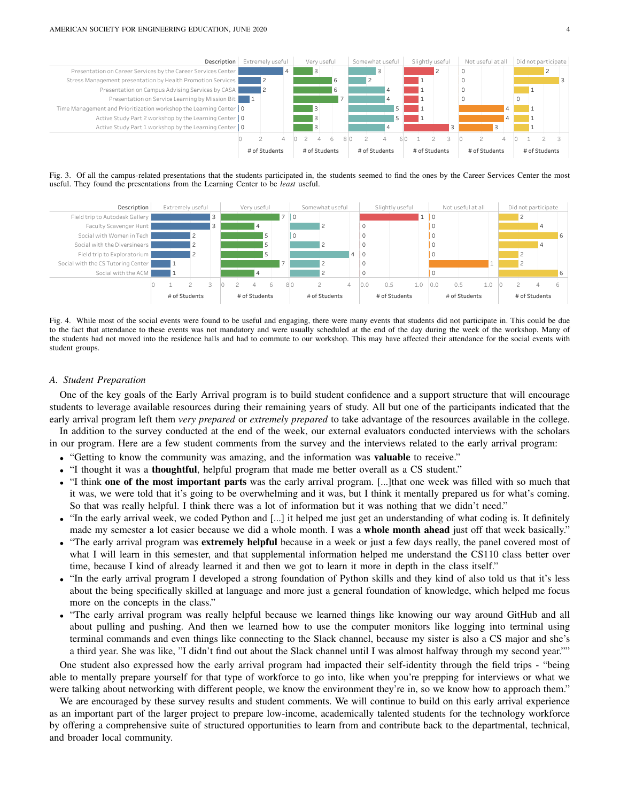

Fig. 3. Of all the campus-related presentations that the students participated in, the students seemed to find the ones by the Career Services Center the most useful. They found the presentations from the Learning Center to be *least* useful.



Fig. 4. While most of the social events were found to be useful and engaging, there were many events that students did not participate in. This could be due to the fact that attendance to these events was not mandatory and were usually scheduled at the end of the day during the week of the workshop. Many of the students had not moved into the residence halls and had to commute to our workshop. This may have affected their attendance for the social events with student groups.

#### *A. Student Preparation*

One of the key goals of the Early Arrival program is to build student confidence and a support structure that will encourage students to leverage available resources during their remaining years of study. All but one of the participants indicated that the early arrival program left them *very prepared* or *extremely prepared* to take advantage of the resources available in the college.

In addition to the survey conducted at the end of the week, our external evaluators conducted interviews with the scholars in our program. Here are a few student comments from the survey and the interviews related to the early arrival program:

- "Getting to know the community was amazing, and the information was **valuable** to receive."
- "I thought it was a thoughtful, helpful program that made me better overall as a CS student."
- "I think one of the most important parts was the early arrival program. [...]that one week was filled with so much that it was, we were told that it's going to be overwhelming and it was, but I think it mentally prepared us for what's coming. So that was really helpful. I think there was a lot of information but it was nothing that we didn't need."
- "In the early arrival week, we coded Python and [...] it helped me just get an understanding of what coding is. It definitely made my semester a lot easier because we did a whole month. I was a **whole month ahead** just off that week basically."
- "The early arrival program was **extremely helpful** because in a week or just a few days really, the panel covered most of what I will learn in this semester, and that supplemental information helped me understand the CS110 class better over time, because I kind of already learned it and then we got to learn it more in depth in the class itself."
- "In the early arrival program I developed a strong foundation of Python skills and they kind of also told us that it's less about the being specifically skilled at language and more just a general foundation of knowledge, which helped me focus more on the concepts in the class."
- "The early arrival program was really helpful because we learned things like knowing our way around GitHub and all about pulling and pushing. And then we learned how to use the computer monitors like logging into terminal using terminal commands and even things like connecting to the Slack channel, because my sister is also a CS major and she's a third year. She was like, "I didn't find out about the Slack channel until I was almost halfway through my second year.""

One student also expressed how the early arrival program had impacted their self-identity through the field trips - "being able to mentally prepare yourself for that type of workforce to go into, like when you're prepping for interviews or what we were talking about networking with different people, we know the environment they're in, so we know how to approach them."

We are encouraged by these survey results and student comments. We will continue to build on this early arrival experience as an important part of the larger project to prepare low-income, academically talented students for the technology workforce by offering a comprehensive suite of structured opportunities to learn from and contribute back to the departmental, technical, and broader local community.